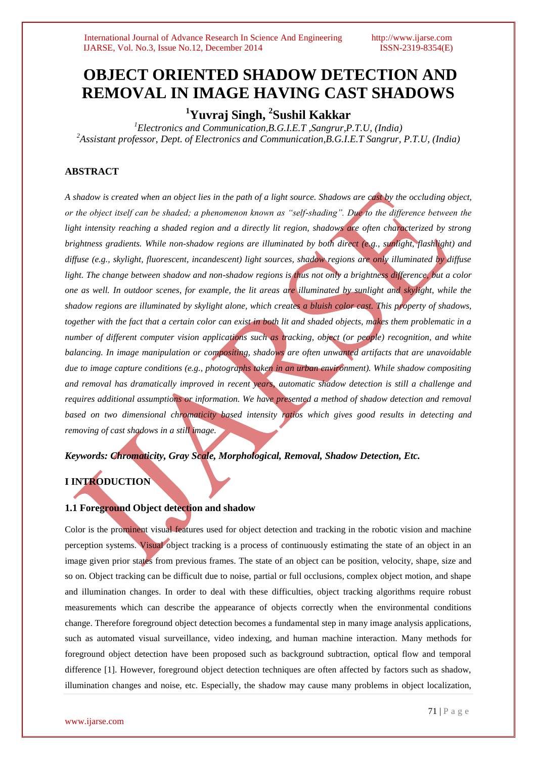# **OBJECT ORIENTED SHADOW DETECTION AND REMOVAL IN IMAGE HAVING CAST SHADOWS**

**<sup>1</sup>Yuvraj Singh, 2 Sushil Kakkar**

*<sup>1</sup>Electronics and Communication,B.G.I.E.T ,Sangrur,P.T.U, (India) <sup>2</sup>Assistant professor, Dept. of Electronics and Communication,B.G.I.E.T Sangrur, P.T.U, (India)*

# **ABSTRACT**

*A shadow is created when an object lies in the path of a light source. Shadows are cast by the occluding object, or the object itself can be shaded; a phenomenon known as "self-shading". Due to the difference between the light intensity reaching a shaded region and a directly lit region, shadows are often characterized by strong brightness gradients. While non-shadow regions are illuminated by both direct (e.g., sunlight, flashlight) and diffuse (e.g., skylight, fluorescent, incandescent) light sources, shadow regions are only illuminated by diffuse light. The change between shadow and non-shadow regions is thus not only a brightness difference, but a color one as well. In outdoor scenes, for example, the lit areas are illuminated by sunlight and skylight, while the shadow regions are illuminated by skylight alone, which creates a bluish color cast. This property of shadows, together with the fact that a certain color can exist in both lit and shaded objects, makes them problematic in a number of different computer vision applications such as tracking, object (or people) recognition, and white balancing. In image manipulation or compositing, shadows are often unwanted artifacts that are unavoidable due to image capture conditions (e.g., photographs taken in an urban environment). While shadow compositing and removal has dramatically improved in recent years, automatic shadow detection is still a challenge and requires additional assumptions or information. We have presented a method of shadow detection and removal based on two dimensional chromaticity based intensity ratios which gives good results in detecting and removing of cast shadows in a still image.*

*Keywords: Chromaticity, Gray Scale, Morphological, Removal, Shadow Detection, Etc.*

# **I INTRODUCTION**

# **1.1 Foreground Object detection and shadow**

Color is the prominent visual features used for object detection and tracking in the robotic vision and machine perception systems. Visual object tracking is a process of continuously estimating the state of an object in an image given prior states from previous frames. The state of an object can be position, velocity, shape, size and so on. Object tracking can be difficult due to noise, partial or full occlusions, complex object motion, and shape and illumination changes. In order to deal with these difficulties, object tracking algorithms require robust measurements which can describe the appearance of objects correctly when the environmental conditions change. Therefore foreground object detection becomes a fundamental step in many image analysis applications, such as automated visual surveillance, video indexing, and human machine interaction. Many methods for foreground object detection have been proposed such as background subtraction, optical flow and temporal difference [1]. However, foreground object detection techniques are often affected by factors such as shadow, illumination changes and noise, etc. Especially, the shadow may cause many problems in object localization,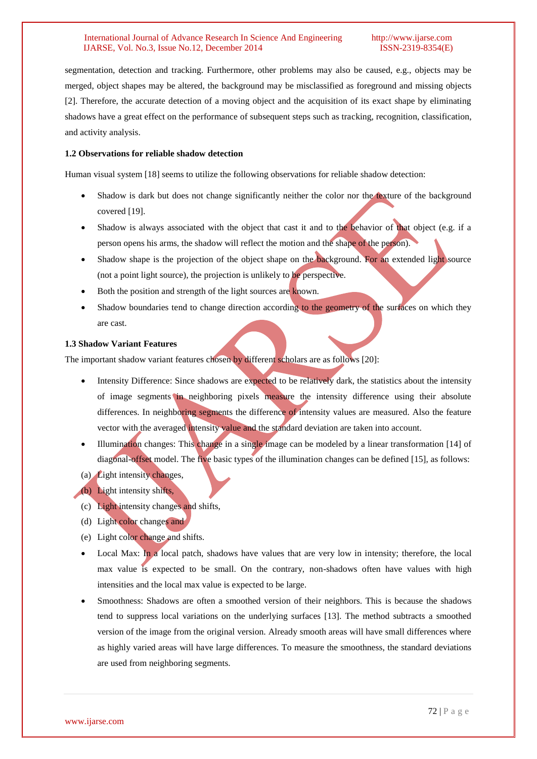segmentation, detection and tracking. Furthermore, other problems may also be caused, e.g., objects may be merged, object shapes may be altered, the background may be misclassified as foreground and missing objects [2]. Therefore, the accurate detection of a moving object and the acquisition of its exact shape by eliminating shadows have a great effect on the performance of subsequent steps such as tracking, recognition, classification, and activity analysis.

# **1.2 Observations for reliable shadow detection**

Human visual system [18] seems to utilize the following observations for reliable shadow detection:

- Shadow is dark but does not change significantly neither the color nor the texture of the background covered [19].
- Shadow is always associated with the object that cast it and to the behavior of that object (e.g. if a person opens his arms, the shadow will reflect the motion and the shape of the person).
- Shadow shape is the projection of the object shape on the background. For an extended light source (not a point light source), the projection is unlikely to be perspective.
- Both the position and strength of the light sources are known.
- Shadow boundaries tend to change direction according to the geometry of the surfaces on which they are cast.

# **1.3 Shadow Variant Features**

The important shadow variant features chosen by different scholars are as follows [20]:

- Intensity Difference: Since shadows are expected to be relatively dark, the statistics about the intensity of image segments in neighboring pixels measure the intensity difference using their absolute differences. In neighboring segments the difference of intensity values are measured. Also the feature vector with the averaged intensity value and the standard deviation are taken into account.
- Illumination changes: This change in a single image can be modeled by a linear transformation [14] of diagonal-offset model. The five basic types of the illumination changes can be defined [15], as follows:
- (a) Light intensity changes,
- (b) Light intensity shifts,
- (c) Light intensity changes and shifts,
- (d) Light color changes and
- (e) Light color change and shifts.
- Local Max: In a local patch, shadows have values that are very low in intensity; therefore, the local max value is expected to be small. On the contrary, non-shadows often have values with high intensities and the local max value is expected to be large.
- Smoothness: Shadows are often a smoothed version of their neighbors. This is because the shadows tend to suppress local variations on the underlying surfaces [13]. The method subtracts a smoothed version of the image from the original version. Already smooth areas will have small differences where as highly varied areas will have large differences. To measure the smoothness, the standard deviations are used from neighboring segments.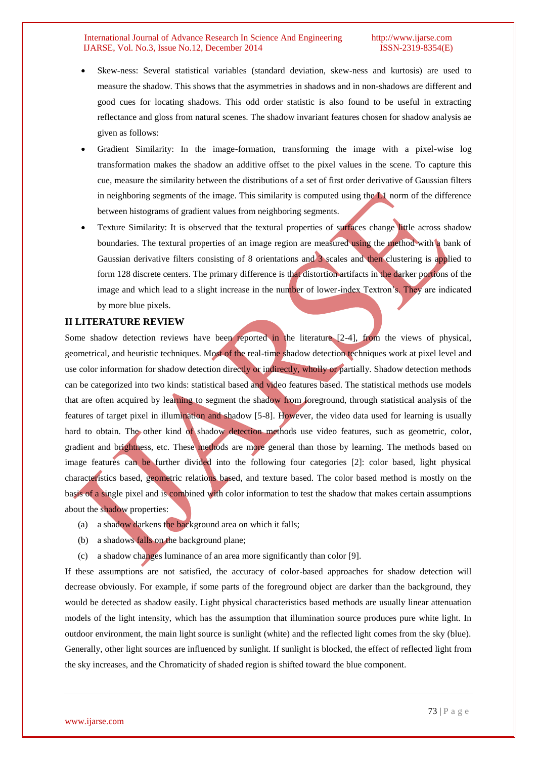- Skew-ness: Several statistical variables (standard deviation, skew-ness and kurtosis) are used to measure the shadow. This shows that the asymmetries in shadows and in non-shadows are different and good cues for locating shadows. This odd order statistic is also found to be useful in extracting reflectance and gloss from natural scenes. The shadow invariant features chosen for shadow analysis ae given as follows:
- Gradient Similarity: In the image-formation, transforming the image with a pixel-wise log transformation makes the shadow an additive offset to the pixel values in the scene. To capture this cue, measure the similarity between the distributions of a set of first order derivative of Gaussian filters in neighboring segments of the image. This similarity is computed using the L1 norm of the difference between histograms of gradient values from neighboring segments.
- Texture Similarity: It is observed that the textural properties of surfaces change little across shadow boundaries. The textural properties of an image region are measured using the method with a bank of Gaussian derivative filters consisting of 8 orientations and 3 scales and then clustering is applied to form 128 discrete centers. The primary difference is that distortion artifacts in the darker portions of the image and which lead to a slight increase in the number of lower-index Textron's. They are indicated by more blue pixels.

# **II LITERATURE REVIEW**

Some shadow detection reviews have been reported in the literature [2-4], from the views of physical, geometrical, and heuristic techniques. Most of the real-time shadow detection techniques work at pixel level and use color information for shadow detection directly or indirectly, wholly or partially. Shadow detection methods can be categorized into two kinds: statistical based and video features based. The statistical methods use models that are often acquired by learning to segment the shadow from foreground, through statistical analysis of the features of target pixel in illumination and shadow [5-8]. However, the video data used for learning is usually hard to obtain. The other kind of shadow detection methods use video features, such as geometric, color, gradient and brightness, etc. These methods are more general than those by learning. The methods based on image features can be further divided into the following four categories [2]: color based, light physical characteristics based, geometric relations based, and texture based. The color based method is mostly on the basis of a single pixel and is combined with color information to test the shadow that makes certain assumptions about the shadow properties:

- (a) a shadow darkens the background area on which it falls;
- (b) a shadows falls on the background plane;
- (c) a shadow changes luminance of an area more significantly than color [9].

If these assumptions are not satisfied, the accuracy of color-based approaches for shadow detection will decrease obviously. For example, if some parts of the foreground object are darker than the background, they would be detected as shadow easily. Light physical characteristics based methods are usually linear attenuation models of the light intensity, which has the assumption that illumination source produces pure white light. In outdoor environment, the main light source is sunlight (white) and the reflected light comes from the sky (blue). Generally, other light sources are influenced by sunlight. If sunlight is blocked, the effect of reflected light from the sky increases, and the Chromaticity of shaded region is shifted toward the blue component.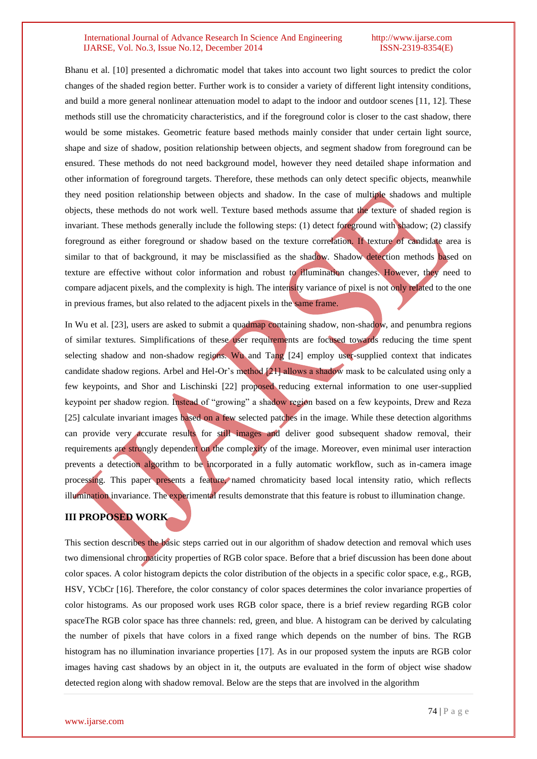Bhanu et al. [10] presented a dichromatic model that takes into account two light sources to predict the color changes of the shaded region better. Further work is to consider a variety of different light intensity conditions, and build a more general nonlinear attenuation model to adapt to the indoor and outdoor scenes [11, 12]. These methods still use the chromaticity characteristics, and if the foreground color is closer to the cast shadow, there would be some mistakes. Geometric feature based methods mainly consider that under certain light source, shape and size of shadow, position relationship between objects, and segment shadow from foreground can be ensured. These methods do not need background model, however they need detailed shape information and other information of foreground targets. Therefore, these methods can only detect specific objects, meanwhile they need position relationship between objects and shadow. In the case of multiple shadows and multiple objects, these methods do not work well. Texture based methods assume that the texture of shaded region is invariant. These methods generally include the following steps: (1) detect foreground with shadow; (2) classify foreground as either foreground or shadow based on the texture correlation. If texture of candidate area is similar to that of background, it may be misclassified as the shadow. Shadow detection methods based on texture are effective without color information and robust to illumination changes. However, they need to compare adjacent pixels, and the complexity is high. The intensity variance of pixel is not only related to the one in previous frames, but also related to the adjacent pixels in the same frame.

In Wu et al. [23], users are asked to submit a quadmap containing shadow, non-shadow, and penumbra regions of similar textures. Simplifications of these user requirements are focused towards reducing the time spent selecting shadow and non-shadow regions. Wu and Tang [24] employ user-supplied context that indicates candidate shadow regions. Arbel and Hel-Or's method [21] allows a shadow mask to be calculated using only a few keypoints, and Shor and Lischinski [22] proposed reducing external information to one user-supplied keypoint per shadow region. Instead of "growing" a shadow region based on a few keypoints, Drew and Reza [25] calculate invariant images based on a few selected patches in the image. While these detection algorithms can provide very accurate results for still images and deliver good subsequent shadow removal, their requirements are strongly dependent on the complexity of the image. Moreover, even minimal user interaction prevents a detection algorithm to be incorporated in a fully automatic workflow, such as in-camera image processing. This paper presents a feature, named chromaticity based local intensity ratio, which reflects illumination invariance. The experimental results demonstrate that this feature is robust to illumination change.

# **III PROPOSED WORK**

This section describes the basic steps carried out in our algorithm of shadow detection and removal which uses two dimensional chromaticity properties of RGB color space. Before that a brief discussion has been done about color spaces. A color histogram depicts the color distribution of the objects in a specific color space, e.g., RGB, HSV, YCbCr [16]. Therefore, the color constancy of color spaces determines the color invariance properties of color histograms. As our proposed work uses RGB color space, there is a brief review regarding RGB color spaceThe RGB color space has three channels: red, green, and blue. A histogram can be derived by calculating the number of pixels that have colors in a fixed range which depends on the number of bins. The RGB histogram has no illumination invariance properties [17]. As in our proposed system the inputs are RGB color images having cast shadows by an object in it, the outputs are evaluated in the form of object wise shadow detected region along with shadow removal. Below are the steps that are involved in the algorithm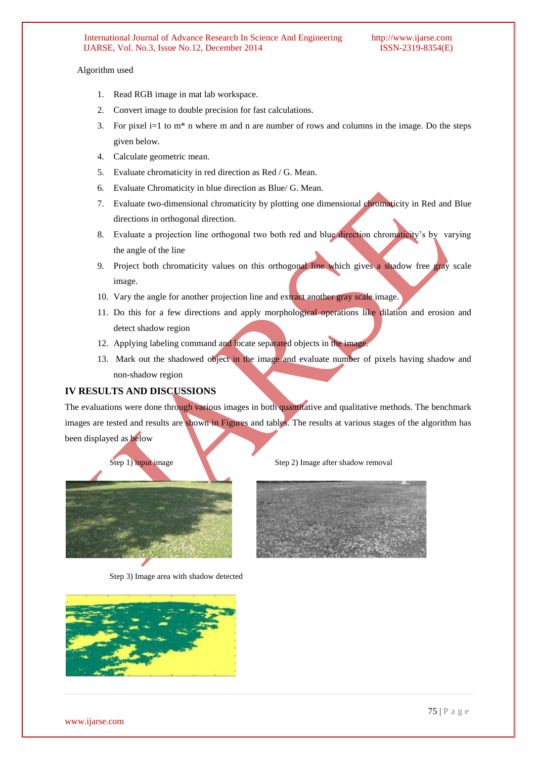# Algorithm used

- 1. Read RGB image in mat lab workspace.
- 2. Convert image to double precision for fast calculations.
- 3. For pixel i=1 to  $m^*$  n where m and n are number of rows and columns in the image. Do the steps given below.
- 4. Calculate geometric mean.
- 5. Evaluate chromaticity in red direction as Red / G. Mean.
- 6. Evaluate Chromaticity in blue direction as Blue/ G. Mean.
- 7. Evaluate two-dimensional chromaticity by plotting one dimensional chromaticity in Red and Blue directions in orthogonal direction.
- 8. Evaluate a projection line orthogonal two both red and blue direction chromaticity's by varying the angle of the line
- 9. Project both chromaticity values on this orthogonal line which gives a shadow free gray scale image.
- 10. Vary the angle for another projection line and extract another gray scale image.
- 11. Do this for a few directions and apply morphological operations like dilation and erosion and detect shadow region
- 12. Applying labeling command and locate separated objects in the image.
- 13. Mark out the shadowed object in the image and evaluate number of pixels having shadow and non-shadow region

# **IV RESULTS AND DISCUSSIONS**

The evaluations were done through various images in both quantitative and qualitative methods. The benchmark images are tested and results are shown in Figures and tables. The results at various stages of the algorithm has been displayed as below



Step 3) Image area with shadow detected



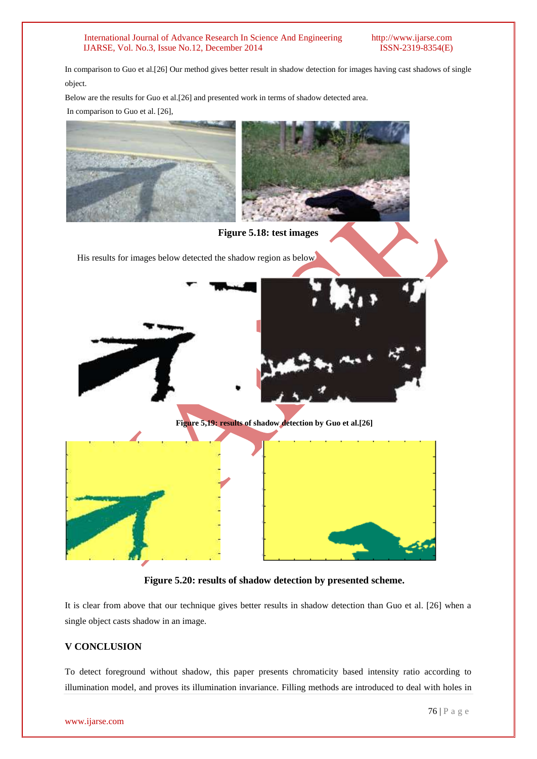In comparison to Guo et al.[26] Our method gives better result in shadow detection for images having cast shadows of single object.

Below are the results for Guo et al.[26] and presented work in terms of shadow detected area. In comparison to Guo et al. [26],



**Figure 5.18: test images**

His results for images below detected the shadow region as below





**Figure 5,19: results of shadow detection by Guo et al.[26]**



**Figure 5.20: results of shadow detection by presented scheme.**

It is clear from above that our technique gives better results in shadow detection than Guo et al. [26] when a single object casts shadow in an image.

# **V CONCLUSION**

To detect foreground without shadow, this paper presents chromaticity based intensity ratio according to illumination model, and proves its illumination invariance. Filling methods are introduced to deal with holes in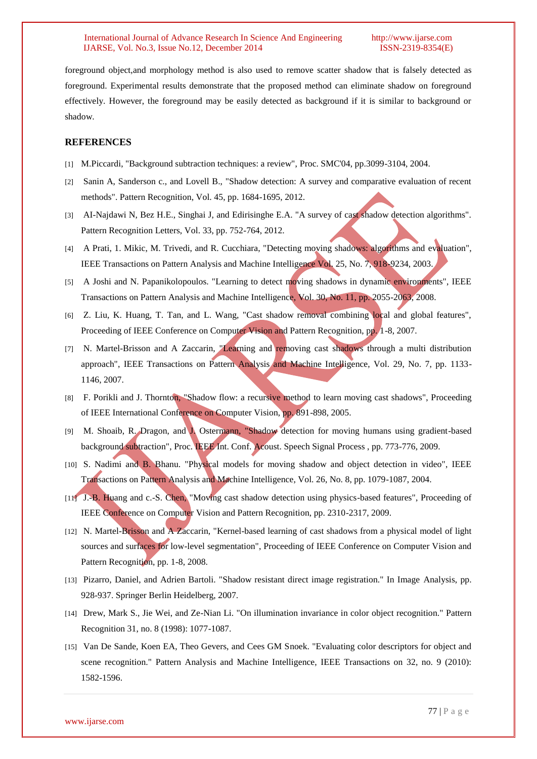foreground object,and morphology method is also used to remove scatter shadow that is falsely detected as foreground. Experimental results demonstrate that the proposed method can eliminate shadow on foreground effectively. However, the foreground may be easily detected as background if it is similar to background or shadow.

# **REFERENCES**

- [1] M.Piccardi, "Background subtraction techniques: a review", Proc. SMC'04, pp.3099-3104, 2004.
- [2] Sanin A, Sanderson c., and Lovell B., "Shadow detection: A survey and comparative evaluation of recent methods". Pattern Recognition, Vol. 45, pp. 1684-1695, 2012.
- [3] AI-Najdawi N, Bez H.E., Singhai J, and Edirisinghe E.A. "A survey of cast shadow detection algorithms". Pattern Recognition Letters, Vol. 33, pp. 752-764, 2012.
- [4] A Prati, 1. Mikic, M. Trivedi, and R. Cucchiara, "Detecting moving shadows: algorithms and evaluation", IEEE Transactions on Pattern Analysis and Machine Intelligence Vol. 25, No. 7, 918-9234, 2003.
- [5] A Joshi and N. Papanikolopoulos. "Learning to detect moving shadows in dynamic environments", IEEE Transactions on Pattern Analysis and Machine Intelligence, Vol. 30, No. 11, pp. 2055-2063, 2008.
- [6] Z. Liu, K. Huang, T. Tan, and L. Wang, "Cast shadow removal combining local and global features", Proceeding of IEEE Conference on Computer Vision and Pattern Recognition, pp. 1-8, 2007.
- [7] N. Martel-Brisson and A Zaccarin, "Learning and removing cast shadows through a multi distribution approach", IEEE Transactions on Pattern Analysis and Machine Intelligence, Vol. 29, No. 7, pp. 1133- 1146, 2007.
- [8] F. Porikli and J. Thornton, "Shadow flow: a recursive method to learn moving cast shadows", Proceeding of IEEE International Conference on Computer Vision, pp. 891-898, 2005.
- [9] M. Shoaib, R. Dragon, and J. Ostermann, "Shadow detection for moving humans using gradient-based background subtraction", Proc. IEEE Int. Conf. Acoust. Speech Signal Process, pp. 773-776, 2009.
- [10] S. Nadimi and B. Bhanu. "Physical models for moving shadow and object detection in video", IEEE Transactions on Pattern Analysis and Machine Intelligence, Vol. 26, No. 8, pp. 1079-1087, 2004.
- [11] J.-B. Huang and c.-S. Chen, "Moving cast shadow detection using physics-based features", Proceeding of IEEE Conference on Computer Vision and Pattern Recognition, pp. 2310-2317, 2009.
- [12] N. Martel-Brisson and A Zaccarin, "Kernel-based learning of cast shadows from a physical model of light sources and surfaces for low-level segmentation", Proceeding of IEEE Conference on Computer Vision and Pattern Recognition, pp. 1-8, 2008.
- [13] Pizarro, Daniel, and Adrien Bartoli. "Shadow resistant direct image registration." In Image Analysis, pp. 928-937. Springer Berlin Heidelberg, 2007.
- [14] Drew, Mark S., Jie Wei, and Ze-Nian Li. "On illumination invariance in color object recognition." Pattern Recognition 31, no. 8 (1998): 1077-1087.
- [15] Van De Sande, Koen EA, Theo Gevers, and Cees GM Snoek. "Evaluating color descriptors for object and scene recognition." Pattern Analysis and Machine Intelligence, IEEE Transactions on 32, no. 9 (2010): 1582-1596.